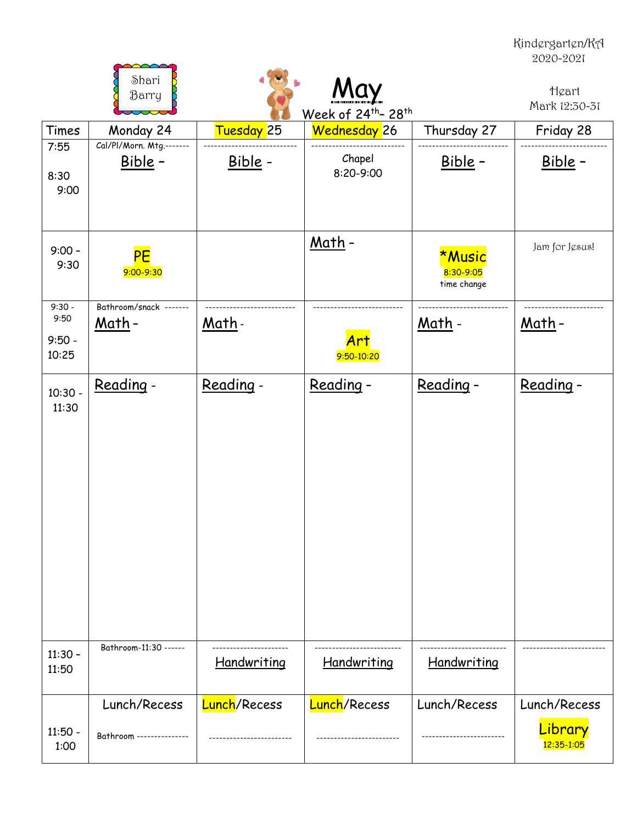Kindergarten/KA 2020-2021

|                                       | Shari<br>Barry                          |                          | Week of 24th-28th    |                                           | Heart<br>Mark 12:30-31 |
|---------------------------------------|-----------------------------------------|--------------------------|----------------------|-------------------------------------------|------------------------|
| Times                                 | Monday 24                               | <mark>Tuesday </mark> 25 | Wednesday 26         | Thursday 27                               | Friday 28              |
| 7:55<br>8:30<br>9:00                  | Cal/Pl/Morn. Mtg .-------<br>Bible -    | Bible -                  | Chapel<br>8:20-9:00  | Bible -                                   | <u>Bible</u> -         |
| $9:00 -$<br>9:30                      | PE<br>9:00-9:30                         |                          | <u>Math</u> -        | <b>*Music</b><br>8:30-9:05<br>time change | Jam for Jesus!         |
| $9:30 -$<br>9:50<br>$9:50 -$<br>10:25 | Bathroom/snack -------<br><u>Math</u> - | <u>Math</u> -            | Art<br>9:50-10:20    | <u> Math</u> -                            | <u>Math</u> -          |
| $10:30 -$<br>11:30                    | Reading -                               | Reading -                | Reading -            | Reading -                                 | Reading -              |
| $11:30 -$<br>11:50                    | Bathroom-11:30 ------                   | Handwriting              | Handwriting          | Handwriting                               |                        |
|                                       | Lunch/Recess                            | <b>Lunch/Recess</b>      | <b>Lunch</b> /Recess | Lunch/Recess                              | Lunch/Recess           |
| $11:50 -$<br>1:00                     | Bathroom ---------------                |                          |                      |                                           | Library<br>12:35-1:05  |

**PARAMAS**